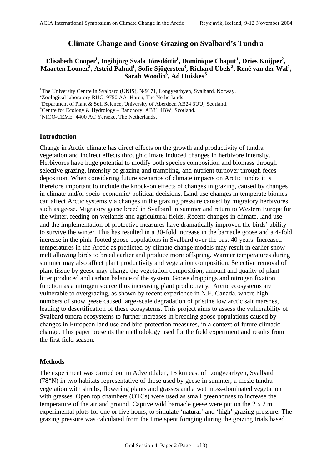# **Climate Change and Goose Grazing on Svalbard's Tundra**

## **Elisabeth Cooper<sup>1</sup> , Ingibjörg Svala Jónsdóttir<sup>1</sup> , Dominique Chaput<sup>1</sup> , Dries Kuijper<sup>2</sup> , Maarten Loonen<sup>2</sup> , Astrid Pahud<sup>1</sup> , Sofie Sjögersten<sup>3</sup> , Richard Ubels<sup>2</sup> , René van der Wal<sup>4</sup> , Sarah Woodin<sup>3</sup> , Ad Huiskes<sup>5</sup>**

<sup>1</sup>The University Centre in Svalbard (UNIS), N-9171, Longyearbyen, Svalbard, Norway.

<sup>3</sup>Department of Plant & Soil Science, University of Aberdeen AB24 3UU, Scotland.

<sup>5</sup>NIOO-CEME, 4400 AC Yerseke, The Netherlands.

#### **Introduction**

Change in Arctic climate has direct effects on the growth and productivity of tundra vegetation and indirect effects through climate induced changes in herbivore intensity. Herbivores have huge potential to modify both species composition and biomass through selective grazing, intensity of grazing and trampling, and nutrient turnover through feces deposition. When considering future scenarios of climate impacts on Arctic tundra it is therefore important to include the knock-on effects of changes in grazing, caused by changes in climate and/or socio-economic/ political decisions. Land use changes in temperate biomes can affect Arctic systems via changes in the grazing pressure caused by migratory herbivores such as geese. Migratory geese breed in Svalbard in summer and return to Western Europe for the winter, feeding on wetlands and agricultural fields. Recent changes in climate, land use and the implementation of protective measures have dramatically improved the birds' ability to survive the winter. This has resulted in a 30-fold increase in the barnacle goose and a 4-fold increase in the pink-footed goose populations in Svalbard over the past 40 years. Increased temperatures in the Arctic as predicted by climate change models may result in earlier snow melt allowing birds to breed earlier and produce more offspring. Warmer temperatures during summer may also affect plant productivity and vegetation composition. Selective removal of plant tissue by geese may change the vegetation composition, amount and quality of plant litter produced and carbon balance of the system. Goose droppings and nitrogen fixation function as a nitrogen source thus increasing plant productivity. Arctic ecosystems are vulnerable to overgrazing, as shown by recent experience in N.E. Canada, where high numbers of snow geese caused large-scale degradation of pristine low arctic salt marshes, leading to desertification of these ecosystems. This project aims to assess the vulnerability of Svalbard tundra ecosystems to further increases in breeding goose populations caused by changes in European land use and bird protection measures, in a context of future climatic change. This paper presents the methodology used for the field experiment and results from the first field season.

#### **Methods**

The experiment was carried out in Adventdalen, 15 km east of Longyearbyen, Svalbard (78°N) in two habitats representative of those used by geese in summer; a mesic tundra vegetation with shrubs, flowering plants and grasses and a wet moss-dominated vegetation with grasses. Open top chambers (OTCs) were used as small greenhouses to increase the temperature of the air and ground. Captive wild barnacle geese were put on the 2 x 2 m experimental plots for one or five hours, to simulate 'natural' and 'high' grazing pressure. The grazing pressure was calculated from the time spent foraging during the grazing trials based

<sup>&</sup>lt;sup>2</sup>Zoological laboratory RUG, 9750 AA Haren, The Netherlands.

<sup>&</sup>lt;sup>4</sup>Centre for Ecology & Hydrology – Banchory, AB31 4BW, Scotland.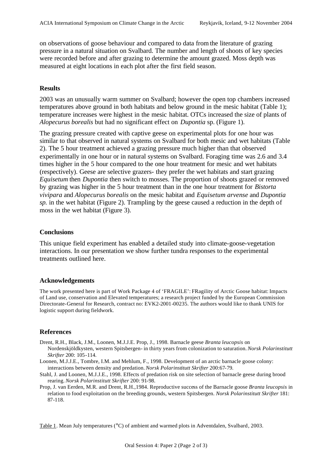on observations of goose behaviour and compared to data from the literature of grazing pressure in a natural situation on Svalbard. The number and length of shoots of key species were recorded before and after grazing to determine the amount grazed. Moss depth was measured at eight locations in each plot after the first field season.

## **Results**

2003 was an unusually warm summer on Svalbard; however the open top chambers increased temperatures above ground in both habitats and below ground in the mesic habitat (Table 1); temperature increases were highest in the mesic habitat. OTCs increased the size of plants of *Alopecurus borealis* but had no significant effect on *Dupontia* sp. (Figure 1).

The grazing pressure created with captive geese on experimental plots for one hour was similar to that observed in natural systems on Svalbard for both mesic and wet habitats (Table 2). The 5 hour treatment achieved a grazing pressure much higher than that observed experimentally in one hour or in natural systems on Svalbard. Foraging time was 2.6 and 3.4 times higher in the 5 hour compared to the one hour treatment for mesic and wet habitats (respectively). Geese are selective grazers- they prefer the wet habitats and start grazing *Equisetum* then *Dupontia* then switch to mosses. The proportion of shoots grazed or removed by grazing was higher in the 5 hour treatment than in the one hour treatment for *Bistorta vivipara* and *Alopecurus borealis* on the mesic habitat and *Equisetum arvense* and *Dupontia sp.* in the wet habitat (Figure 2). Trampling by the geese caused a reduction in the depth of moss in the wet habitat (Figure 3).

## **Conclusions**

This unique field experiment has enabled a detailed study into climate-goose-vegetation interactions. In our presentation we show further tundra responses to the experimental treatments outlined here.

## **Acknowledgements**

The work presented here is part of Work Package 4 of 'FRAGILE': FRagility of Arctic Goose habitat: Impacts of Land use, conservation and Elevated temperatures; a research project funded by the European Commission Directorate-General for Research, contract no: EVK2-2001-00235. The authors would like to thank UNIS for logistic support during fieldwork.

## **References**

- Drent, R.H., Black, J.M., Loonen, M.J.J.E. Prop, J., 1998. Barnacle geese *Branta leucopsis* on Nordenskjöldkysten, western Spitsbergen- in thirty years from colonization to saturation. *Norsk Polarinstitutt Skrifter* 200: 105-114.
- Loonen, M.J.J.E., Tombre, I.M. and Mehlum, F., 1998. Development of an arctic barnacle goose colony: interactions between density and predation. *Norsk Polarinstitutt Skrifter* 200:67-79.
- Stahl, J. and Loonen, M.J.J.E., 1998. Effects of predation risk on site selection of barnacle geese during brood rearing.*Norsk Polarinstitutt Skrifter* 200: 91-98.
- Prop, J. van Eerden, M.R. and Drent, R.H.,1984. Reproductive success of the Barnacle goose *Branta leucopsis* in relation to food exploitation on the breeding grounds, western Spitsbergen. *Norsk Polarinstitutt Skrifter* 181: 87-118.

Table 1. Mean July temperatures ( $\degree$ C) of ambient and warmed plots in Adventdalen, Svalbard, 2003.